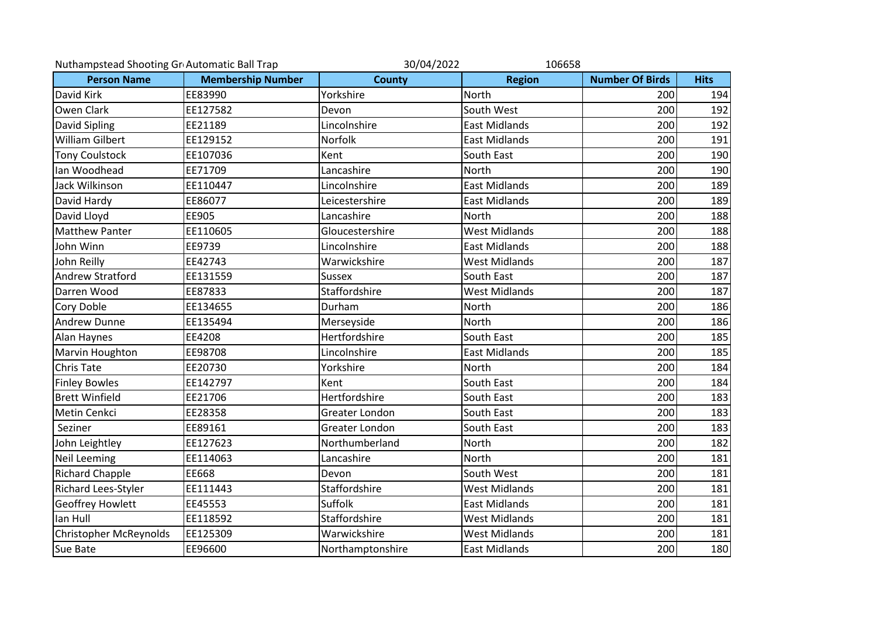| Nuthampstead Shooting Gr Automatic Ball Trap |                          | 30/04/2022<br>106658 |                      |                        |             |
|----------------------------------------------|--------------------------|----------------------|----------------------|------------------------|-------------|
| <b>Person Name</b>                           | <b>Membership Number</b> | <b>County</b>        | <b>Region</b>        | <b>Number Of Birds</b> | <b>Hits</b> |
| David Kirk                                   | EE83990                  | Yorkshire            | North                | 200                    | 194         |
| Owen Clark                                   | EE127582                 | Devon                | South West           | 200                    | 192         |
| David Sipling                                | EE21189                  | Lincolnshire         | <b>East Midlands</b> | 200                    | 192         |
| <b>William Gilbert</b>                       | EE129152                 | Norfolk              | <b>East Midlands</b> | 200                    | 191         |
| <b>Tony Coulstock</b>                        | EE107036                 | Kent                 | South East           | 200                    | 190         |
| lan Woodhead                                 | EE71709                  | Lancashire           | <b>North</b>         | 200                    | 190         |
| Jack Wilkinson                               | EE110447                 | Lincolnshire         | <b>East Midlands</b> | 200                    | 189         |
| David Hardy                                  | EE86077                  | Leicestershire       | <b>East Midlands</b> | 200                    | 189         |
| David Lloyd                                  | EE905                    | Lancashire           | <b>North</b>         | 200                    | 188         |
| <b>Matthew Panter</b>                        | EE110605                 | Gloucestershire      | <b>West Midlands</b> | 200                    | 188         |
| John Winn                                    | EE9739                   | Lincolnshire         | <b>East Midlands</b> | 200                    | 188         |
| John Reilly                                  | EE42743                  | Warwickshire         | <b>West Midlands</b> | 200                    | 187         |
| <b>Andrew Stratford</b>                      | EE131559                 | <b>Sussex</b>        | South East           | 200                    | 187         |
| Darren Wood                                  | EE87833                  | Staffordshire        | <b>West Midlands</b> | 200                    | 187         |
| <b>Cory Doble</b>                            | EE134655                 | Durham               | North                | 200                    | 186         |
| <b>Andrew Dunne</b>                          | EE135494                 | Merseyside           | <b>North</b>         | 200                    | 186         |
| Alan Haynes                                  | EE4208                   | Hertfordshire        | South East           | 200                    | 185         |
| Marvin Houghton                              | EE98708                  | Lincolnshire         | <b>East Midlands</b> | 200                    | 185         |
| <b>Chris Tate</b>                            | EE20730                  | Yorkshire            | North                | 200                    | 184         |
| <b>Finley Bowles</b>                         | EE142797                 | Kent                 | South East           | 200                    | 184         |
| <b>Brett Winfield</b>                        | EE21706                  | Hertfordshire        | South East           | 200                    | 183         |
| Metin Cenkci                                 | EE28358                  | Greater London       | South East           | 200                    | 183         |
| Seziner                                      | EE89161                  | Greater London       | South East           | 200                    | 183         |
| John Leightley                               | EE127623                 | Northumberland       | North                | 200                    | 182         |
| <b>Neil Leeming</b>                          | EE114063                 | Lancashire           | North                | 200                    | 181         |
| <b>Richard Chapple</b>                       | EE668                    | Devon                | South West           | 200                    | 181         |
| Richard Lees-Styler                          | EE111443                 | Staffordshire        | <b>West Midlands</b> | 200                    | 181         |
| <b>Geoffrey Howlett</b>                      | EE45553                  | Suffolk              | <b>East Midlands</b> | 200                    | 181         |
| lan Hull                                     | EE118592                 | Staffordshire        | <b>West Midlands</b> | 200                    | 181         |
| <b>Christopher McReynolds</b>                | EE125309                 | Warwickshire         | <b>West Midlands</b> | 200                    | 181         |
| Sue Bate                                     | EE96600                  | Northamptonshire     | <b>East Midlands</b> | 200                    | 180         |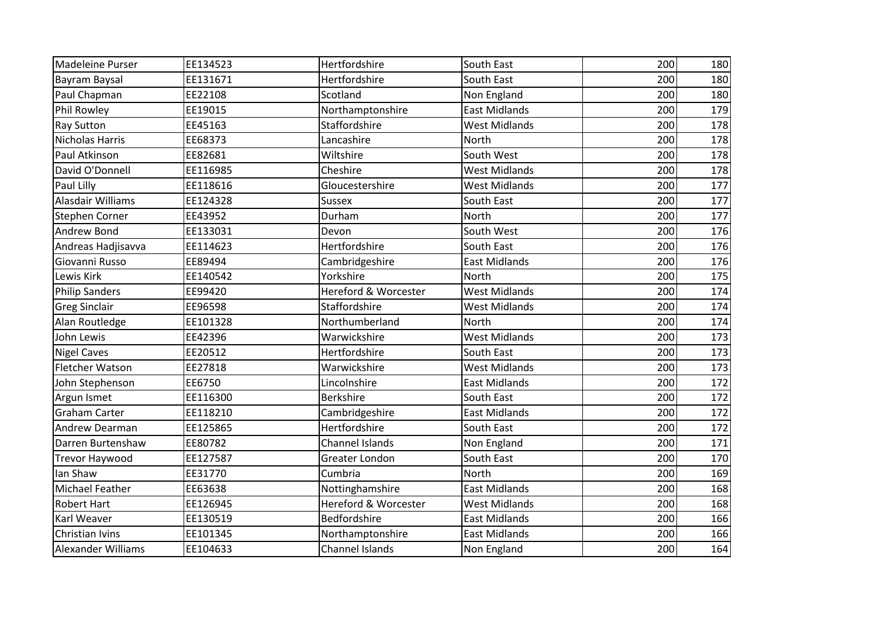| Madeleine Purser       | EE134523 | Hertfordshire        | South East           | 200 | 180 |
|------------------------|----------|----------------------|----------------------|-----|-----|
| Bayram Baysal          | EE131671 | Hertfordshire        | South East           | 200 | 180 |
| Paul Chapman           | EE22108  | Scotland             | Non England          | 200 | 180 |
| Phil Rowley            | EE19015  | Northamptonshire     | <b>East Midlands</b> | 200 | 179 |
| Ray Sutton             | EE45163  | Staffordshire        | <b>West Midlands</b> | 200 | 178 |
| <b>Nicholas Harris</b> | EE68373  | Lancashire           | <b>North</b>         | 200 | 178 |
| Paul Atkinson          | EE82681  | Wiltshire            | South West           | 200 | 178 |
| David O'Donnell        | EE116985 | Cheshire             | West Midlands        | 200 | 178 |
| Paul Lilly             | EE118616 | Gloucestershire      | <b>West Midlands</b> | 200 | 177 |
| Alasdair Williams      | EE124328 | Sussex               | South East           | 200 | 177 |
| Stephen Corner         | EE43952  | Durham               | North                | 200 | 177 |
| Andrew Bond            | EE133031 | Devon                | South West           | 200 | 176 |
| Andreas Hadjisavva     | EE114623 | Hertfordshire        | South East           | 200 | 176 |
| Giovanni Russo         | EE89494  | Cambridgeshire       | East Midlands        | 200 | 176 |
| Lewis Kirk             | EE140542 | Yorkshire            | North                | 200 | 175 |
| <b>Philip Sanders</b>  | EE99420  | Hereford & Worcester | <b>West Midlands</b> | 200 | 174 |
| <b>Greg Sinclair</b>   | EE96598  | Staffordshire        | West Midlands        | 200 | 174 |
| Alan Routledge         | EE101328 | Northumberland       | North                | 200 | 174 |
| John Lewis             | EE42396  | Warwickshire         | <b>West Midlands</b> | 200 | 173 |
| <b>Nigel Caves</b>     | EE20512  | Hertfordshire        | South East           | 200 | 173 |
| <b>Fletcher Watson</b> | EE27818  | Warwickshire         | <b>West Midlands</b> | 200 | 173 |
| John Stephenson        | EE6750   | Lincolnshire         | <b>East Midlands</b> | 200 | 172 |
| Argun Ismet            | EE116300 | <b>Berkshire</b>     | South East           | 200 | 172 |
| <b>Graham Carter</b>   | EE118210 | Cambridgeshire       | <b>East Midlands</b> | 200 | 172 |
| Andrew Dearman         | EE125865 | Hertfordshire        | South East           | 200 | 172 |
| Darren Burtenshaw      | EE80782  | Channel Islands      | Non England          | 200 | 171 |
| <b>Trevor Haywood</b>  | EE127587 | Greater London       | South East           | 200 | 170 |
| lan Shaw               | EE31770  | Cumbria              | North                | 200 | 169 |
| Michael Feather        | EE63638  | Nottinghamshire      | <b>East Midlands</b> | 200 | 168 |
| <b>Robert Hart</b>     | EE126945 | Hereford & Worcester | <b>West Midlands</b> | 200 | 168 |
| Karl Weaver            | EE130519 | Bedfordshire         | <b>East Midlands</b> | 200 | 166 |
| Christian Ivins        | EE101345 | Northamptonshire     | East Midlands        | 200 | 166 |
| Alexander Williams     | EE104633 | Channel Islands      | Non England          | 200 | 164 |